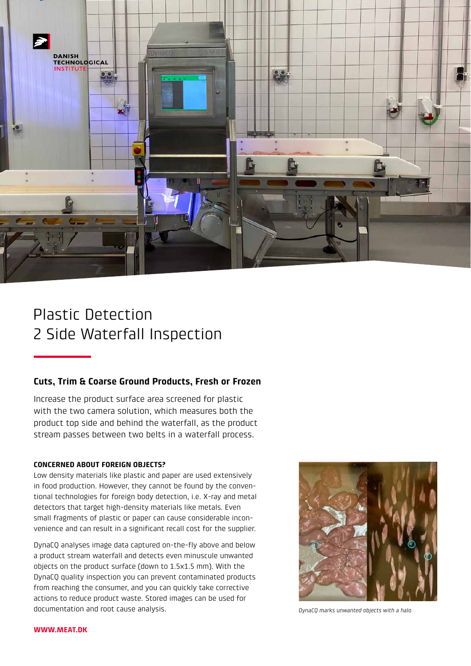

# Plastic Detection 2 Side Waterfall Inspection

# **Cuts, Trim & Coarse Ground Products, Fresh or Frozen**

Increase the product surface area screened for plastic with the two camera solution, which measures both the product top side and behind the waterfall, as the product stream passes between two belts in a waterfall process.

# **CONCERNED ABOUT FOREIGN OBJECTS?**

Low density materials like plastic and paper are used extensively in food production. However, they cannot be found by the conventional technologies for foreign body detection, i.e. X-ray and metal detectors that target high-density materials like metals. Even small fragments of plastic or paper can cause considerable inconvenience and can result in a significant recall cost for the supplier.

DynaCQ analyses image data captured on-the-fly above and below a product stream waterfall and detects even minuscule unwanted objects on the product surface (down to 1.5x1.5 mm). With the DynaCQ quality inspection you can prevent contaminated products from reaching the consumer, and you can quickly take corrective actions to reduce product waste. Stored images can be used for documentation and root cause analysis.



*DynaCQ marks unwanted objects with a halo*

#### **WWW.MEAT.DK**